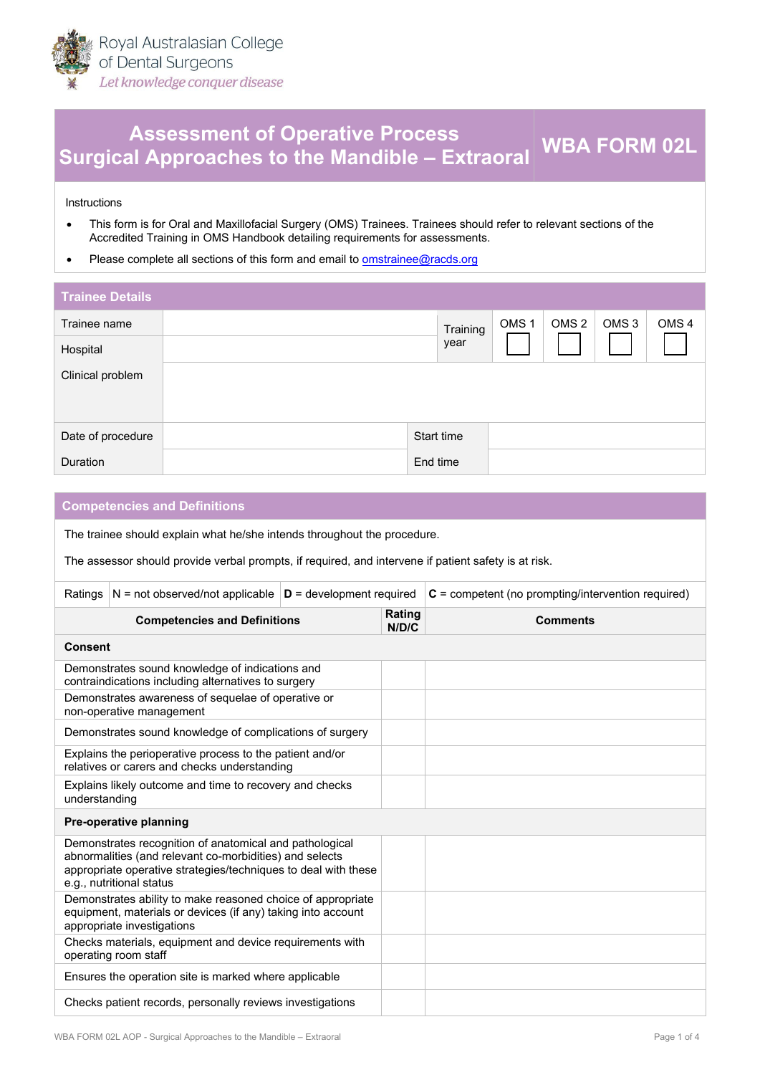

## **Assessment of Operative Process Surgical Approaches to the Mandible – Extraoral WBA FORM 02L**

Instructions

- This form is for Oral and Maxillofacial Surgery (OMS) Trainees. Trainees should refer to relevant sections of the [Accredi](https://racds.org/accredited-training-in-oms-handbook/)ted Training in OMS Handbook detailing requirements for assessments.
- Please complete all sections of this form and email to om[strainee@racds.org](mailto:omstrainee@racds.org)

| <b>Trainee Details</b> |            |          |                  |                  |                  |                  |
|------------------------|------------|----------|------------------|------------------|------------------|------------------|
| Trainee name           |            | Training | OMS <sub>1</sub> | OMS <sub>2</sub> | OMS <sub>3</sub> | OMS <sub>4</sub> |
| Hospital               |            | year     |                  |                  |                  |                  |
| Clinical problem       |            |          |                  |                  |                  |                  |
| Date of procedure      | Start time |          |                  |                  |                  |                  |
| <b>Duration</b>        | End time   |          |                  |                  |                  |                  |

| <b>Competencies and Definitions</b>                                                                                                                                                                              |                                                                                                        |  |                 |                                                      |  |
|------------------------------------------------------------------------------------------------------------------------------------------------------------------------------------------------------------------|--------------------------------------------------------------------------------------------------------|--|-----------------|------------------------------------------------------|--|
| The trainee should explain what he/she intends throughout the procedure.                                                                                                                                         |                                                                                                        |  |                 |                                                      |  |
|                                                                                                                                                                                                                  | The assessor should provide verbal prompts, if required, and intervene if patient safety is at risk.   |  |                 |                                                      |  |
| Ratings                                                                                                                                                                                                          | N = not observed/not applicable $ D =$ development required                                            |  |                 | $C =$ competent (no prompting/intervention required) |  |
|                                                                                                                                                                                                                  | <b>Competencies and Definitions</b>                                                                    |  | Rating<br>N/D/C | <b>Comments</b>                                      |  |
| Consent                                                                                                                                                                                                          |                                                                                                        |  |                 |                                                      |  |
|                                                                                                                                                                                                                  | Demonstrates sound knowledge of indications and<br>contraindications including alternatives to surgery |  |                 |                                                      |  |
|                                                                                                                                                                                                                  | Demonstrates awareness of sequelae of operative or<br>non-operative management                         |  |                 |                                                      |  |
| Demonstrates sound knowledge of complications of surgery                                                                                                                                                         |                                                                                                        |  |                 |                                                      |  |
| Explains the perioperative process to the patient and/or<br>relatives or carers and checks understanding                                                                                                         |                                                                                                        |  |                 |                                                      |  |
| Explains likely outcome and time to recovery and checks<br>understanding                                                                                                                                         |                                                                                                        |  |                 |                                                      |  |
| Pre-operative planning                                                                                                                                                                                           |                                                                                                        |  |                 |                                                      |  |
| Demonstrates recognition of anatomical and pathological<br>abnormalities (and relevant co-morbidities) and selects<br>appropriate operative strategies/techniques to deal with these<br>e.g., nutritional status |                                                                                                        |  |                 |                                                      |  |
| Demonstrates ability to make reasoned choice of appropriate<br>equipment, materials or devices (if any) taking into account<br>appropriate investigations                                                        |                                                                                                        |  |                 |                                                      |  |
|                                                                                                                                                                                                                  | Checks materials, equipment and device requirements with<br>operating room staff                       |  |                 |                                                      |  |
| Ensures the operation site is marked where applicable                                                                                                                                                            |                                                                                                        |  |                 |                                                      |  |
| Checks patient records, personally reviews investigations                                                                                                                                                        |                                                                                                        |  |                 |                                                      |  |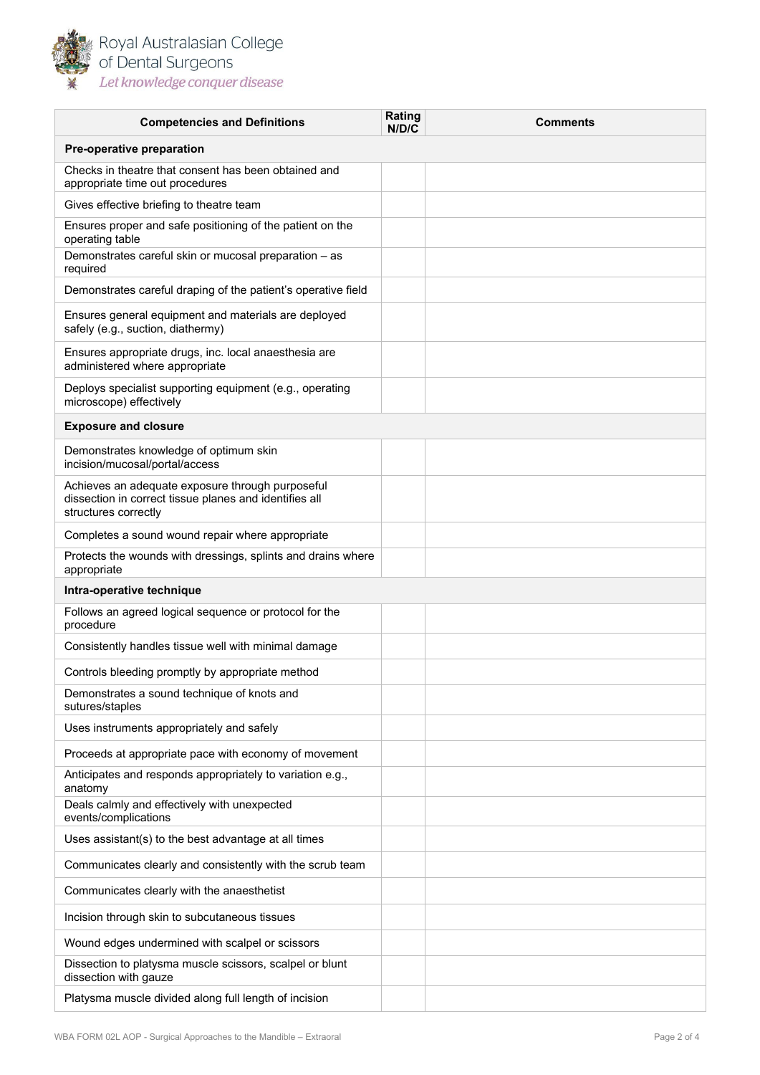

Royal Australasian College<br>of Dental Surgeons Let knowledge conquer disease

| <b>Competencies and Definitions</b>                                                                                                | Rating<br>N/D/C | <b>Comments</b> |  |  |
|------------------------------------------------------------------------------------------------------------------------------------|-----------------|-----------------|--|--|
| Pre-operative preparation                                                                                                          |                 |                 |  |  |
| Checks in theatre that consent has been obtained and<br>appropriate time out procedures                                            |                 |                 |  |  |
| Gives effective briefing to theatre team                                                                                           |                 |                 |  |  |
| Ensures proper and safe positioning of the patient on the<br>operating table                                                       |                 |                 |  |  |
| Demonstrates careful skin or mucosal preparation - as<br>required                                                                  |                 |                 |  |  |
| Demonstrates careful draping of the patient's operative field                                                                      |                 |                 |  |  |
| Ensures general equipment and materials are deployed<br>safely (e.g., suction, diathermy)                                          |                 |                 |  |  |
| Ensures appropriate drugs, inc. local anaesthesia are<br>administered where appropriate                                            |                 |                 |  |  |
| Deploys specialist supporting equipment (e.g., operating<br>microscope) effectively                                                |                 |                 |  |  |
| <b>Exposure and closure</b>                                                                                                        |                 |                 |  |  |
| Demonstrates knowledge of optimum skin<br>incision/mucosal/portal/access                                                           |                 |                 |  |  |
| Achieves an adequate exposure through purposeful<br>dissection in correct tissue planes and identifies all<br>structures correctly |                 |                 |  |  |
| Completes a sound wound repair where appropriate                                                                                   |                 |                 |  |  |
| Protects the wounds with dressings, splints and drains where<br>appropriate                                                        |                 |                 |  |  |
| Intra-operative technique                                                                                                          |                 |                 |  |  |
| Follows an agreed logical sequence or protocol for the<br>procedure                                                                |                 |                 |  |  |
| Consistently handles tissue well with minimal damage                                                                               |                 |                 |  |  |
| Controls bleeding promptly by appropriate method                                                                                   |                 |                 |  |  |
| Demonstrates a sound technique of knots and<br>sutures/staples                                                                     |                 |                 |  |  |
| Uses instruments appropriately and safely                                                                                          |                 |                 |  |  |
| Proceeds at appropriate pace with economy of movement                                                                              |                 |                 |  |  |
| Anticipates and responds appropriately to variation e.g.,<br>anatomy                                                               |                 |                 |  |  |
| Deals calmly and effectively with unexpected<br>events/complications                                                               |                 |                 |  |  |
| Uses assistant(s) to the best advantage at all times                                                                               |                 |                 |  |  |
| Communicates clearly and consistently with the scrub team                                                                          |                 |                 |  |  |
| Communicates clearly with the anaesthetist                                                                                         |                 |                 |  |  |
| Incision through skin to subcutaneous tissues                                                                                      |                 |                 |  |  |
| Wound edges undermined with scalpel or scissors                                                                                    |                 |                 |  |  |
| Dissection to platysma muscle scissors, scalpel or blunt<br>dissection with gauze                                                  |                 |                 |  |  |
| Platysma muscle divided along full length of incision                                                                              |                 |                 |  |  |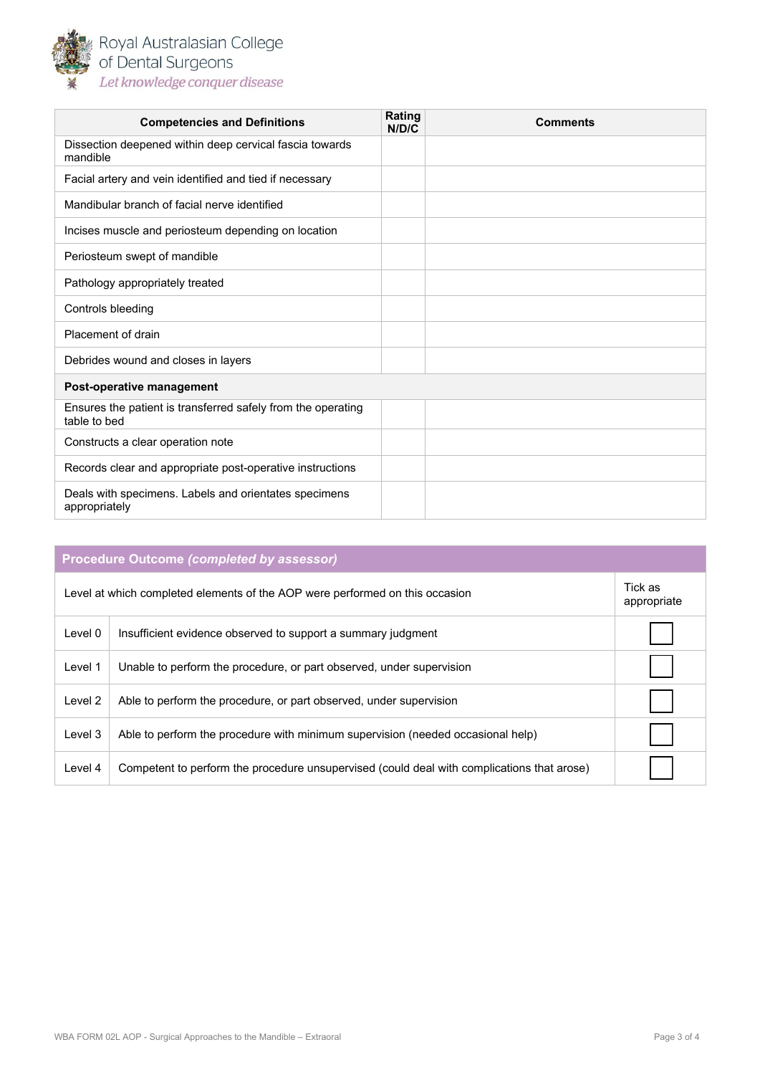

Royal Australasian College<br>of Dental Surgeons Let knowledge conquer disease

| <b>Competencies and Definitions</b>                                          | Rating<br>N/D/C | <b>Comments</b> |  |
|------------------------------------------------------------------------------|-----------------|-----------------|--|
| Dissection deepened within deep cervical fascia towards<br>mandible          |                 |                 |  |
| Facial artery and vein identified and tied if necessary                      |                 |                 |  |
| Mandibular branch of facial nerve identified                                 |                 |                 |  |
| Incises muscle and periosteum depending on location                          |                 |                 |  |
| Periosteum swept of mandible                                                 |                 |                 |  |
| Pathology appropriately treated                                              |                 |                 |  |
| Controls bleeding                                                            |                 |                 |  |
| Placement of drain                                                           |                 |                 |  |
| Debrides wound and closes in layers                                          |                 |                 |  |
| Post-operative management                                                    |                 |                 |  |
| Ensures the patient is transferred safely from the operating<br>table to bed |                 |                 |  |
| Constructs a clear operation note                                            |                 |                 |  |
| Records clear and appropriate post-operative instructions                    |                 |                 |  |
| Deals with specimens. Labels and orientates specimens<br>appropriately       |                 |                 |  |

| <b>Procedure Outcome (completed by assessor)</b>                             |                                                                                            |  |  |  |  |
|------------------------------------------------------------------------------|--------------------------------------------------------------------------------------------|--|--|--|--|
| Level at which completed elements of the AOP were performed on this occasion |                                                                                            |  |  |  |  |
| Level 0                                                                      | Insufficient evidence observed to support a summary judgment                               |  |  |  |  |
| Level 1                                                                      | Unable to perform the procedure, or part observed, under supervision                       |  |  |  |  |
| Level 2                                                                      | Able to perform the procedure, or part observed, under supervision                         |  |  |  |  |
| Level 3                                                                      | Able to perform the procedure with minimum supervision (needed occasional help)            |  |  |  |  |
| Level 4                                                                      | Competent to perform the procedure unsupervised (could deal with complications that arose) |  |  |  |  |